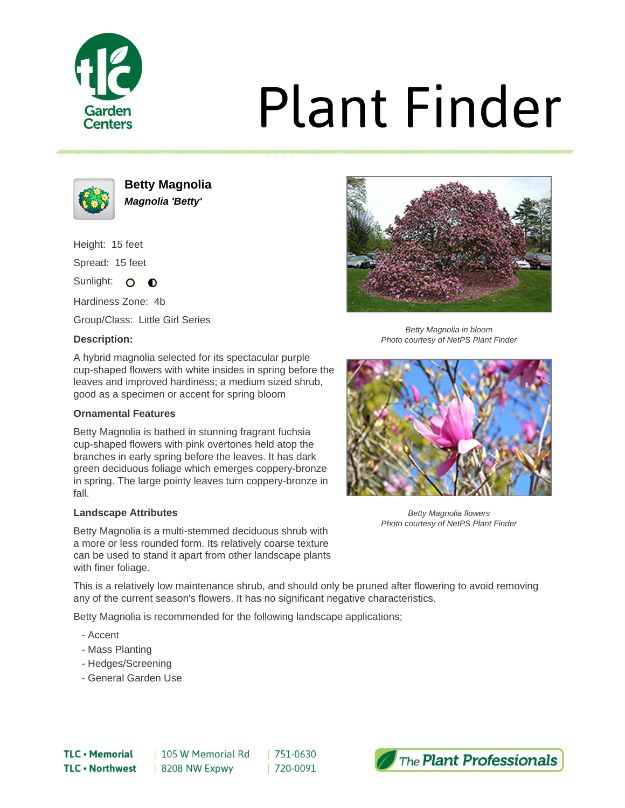

# **Plant Finder**



**Betty Magnolia Magnolia 'Betty'**

Height: 15 feet

Spread: 15 feet

Sunlight: O  $\bullet$ 

Hardiness Zone: 4b

Group/Class: Little Girl Series

### **Description:**



Betty Magnolia in bloom Photo courtesy of NetPS Plant Finder

A hybrid magnolia selected for its spectacular purple cup-shaped flowers with white insides in spring before the leaves and improved hardiness; a medium sized shrub, good as a specimen or accent for spring bloom

### **Ornamental Features**

Betty Magnolia is bathed in stunning fragrant fuchsia cup-shaped flowers with pink overtones held atop the branches in early spring before the leaves. It has dark green deciduous foliage which emerges coppery-bronze in spring. The large pointy leaves turn coppery-bronze in fall.

### **Landscape Attributes**

Betty Magnolia is a multi-stemmed deciduous shrub with a more or less rounded form. Its relatively coarse texture can be used to stand it apart from other landscape plants with finer foliage.



Betty Magnolia flowers Photo courtesy of NetPS Plant Finder

This is a relatively low maintenance shrub, and should only be pruned after flowering to avoid removing any of the current season's flowers. It has no significant negative characteristics.

Betty Magnolia is recommended for the following landscape applications;

- Accent
- Mass Planting
- Hedges/Screening
- General Garden Use